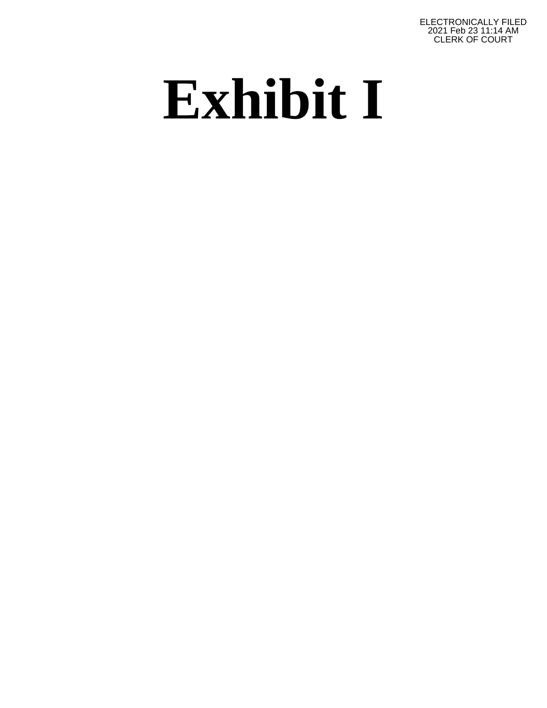ELECTRONICALLY FILED 2021 Feb 23 11:14 AM CLERK OF COURT

# **Exhibit I**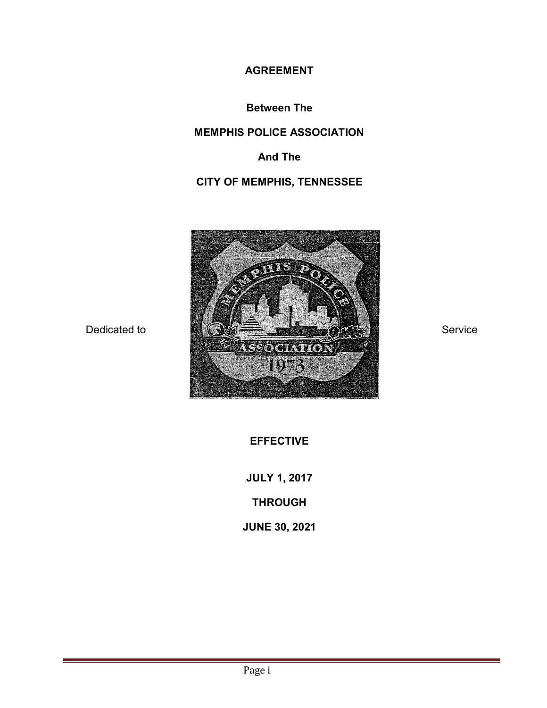**AGREEMENT**

**Between The**

# **MEMPHIS POLICE ASSOCIATION**

**And The**

## **CITY OF MEMPHIS, TENNESSEE**



# **EFFECTIVE**

**JULY 1, 2017**

**THROUGH**

**JUNE 30, 2021**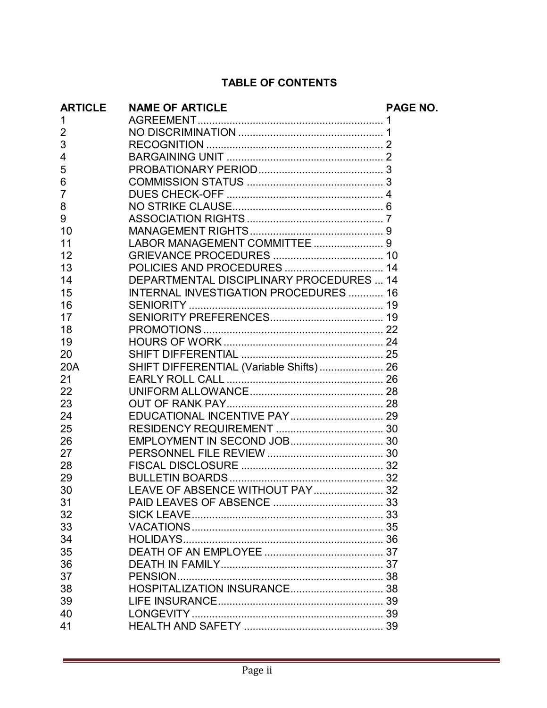# **TABLE OF CONTENTS**

| <b>ARTICLE</b> | <b>NAME OF ARTICLE</b>                       | <b>PAGE NO.</b> |
|----------------|----------------------------------------------|-----------------|
| 1              |                                              |                 |
| 2              |                                              |                 |
| 3              |                                              |                 |
| 4              |                                              |                 |
| 5              |                                              |                 |
| 6              |                                              |                 |
| 7              |                                              |                 |
| 8              |                                              |                 |
| 9              |                                              |                 |
| 10             |                                              |                 |
| 11             |                                              |                 |
| 12             |                                              |                 |
| 13             |                                              |                 |
| 14             | DEPARTMENTAL DISCIPLINARY PROCEDURES  14     |                 |
| 15             | <b>INTERNAL INVESTIGATION PROCEDURES  16</b> |                 |
| 16             |                                              |                 |
| 17             |                                              |                 |
| 18             |                                              |                 |
| 19             |                                              |                 |
| 20             |                                              |                 |
| 20A            | SHIFT DIFFERENTIAL (Variable Shifts) 26      |                 |
| 21             |                                              |                 |
| 22             |                                              |                 |
| 23             |                                              |                 |
| 24             |                                              |                 |
| 25             |                                              |                 |
| 26             |                                              |                 |
| 27             |                                              |                 |
| 28             |                                              |                 |
| 29             |                                              |                 |
| 30             | LEAVE OF ABSENCE WITHOUT PAY 32              |                 |
| 31             |                                              |                 |
| 32             |                                              |                 |
| 33             |                                              |                 |
| 34             |                                              |                 |
| 35             |                                              |                 |
| 36             |                                              |                 |
| 37             |                                              |                 |
| 38             |                                              |                 |
| 39             |                                              |                 |
| 40             |                                              |                 |
| 41             |                                              |                 |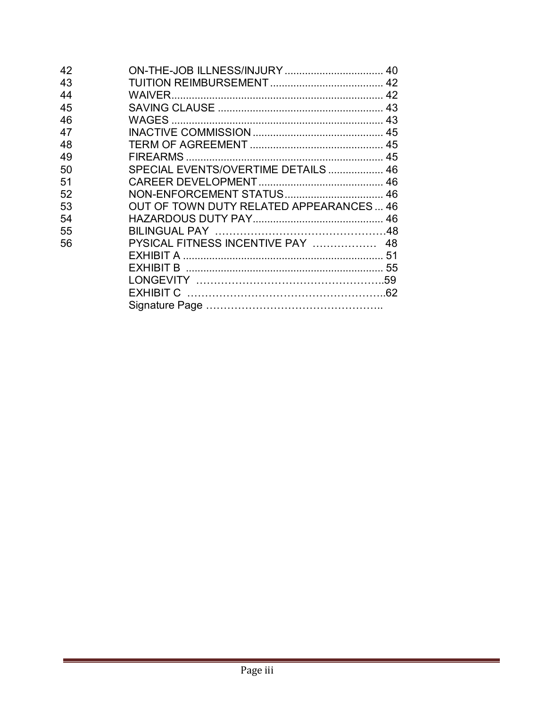| 42 |                                         |  |
|----|-----------------------------------------|--|
| 43 |                                         |  |
| 44 |                                         |  |
| 45 |                                         |  |
| 46 |                                         |  |
| 47 |                                         |  |
| 48 |                                         |  |
| 49 |                                         |  |
| 50 | SPECIAL EVENTS/OVERTIME DETAILS  46     |  |
| 51 |                                         |  |
| 52 |                                         |  |
| 53 | OUT OF TOWN DUTY RELATED APPEARANCES 46 |  |
| 54 |                                         |  |
| 55 |                                         |  |
| 56 | PYSICAL FITNESS INCENTIVE PAY  48       |  |
|    |                                         |  |
|    |                                         |  |
|    |                                         |  |
|    |                                         |  |
|    |                                         |  |
|    |                                         |  |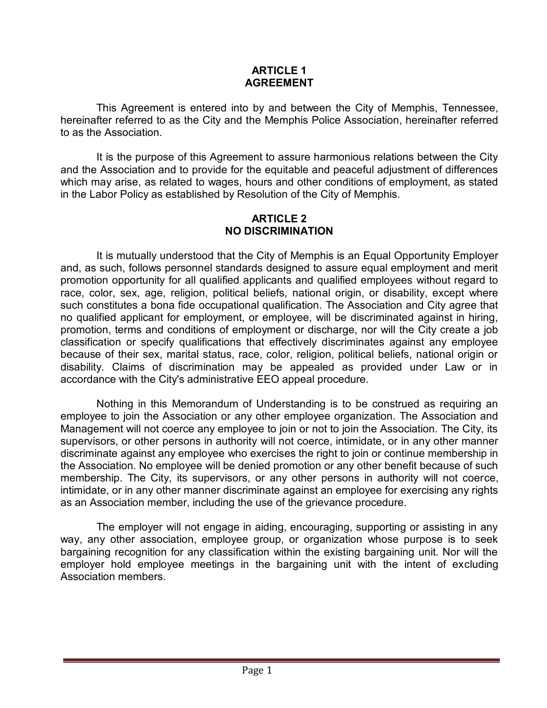### **ARTICLE 1 AGREEMENT**

This Agreement is entered into by and between the City of Memphis, Tennessee, hereinafter referred to as the City and the Memphis Police Association, hereinafter referred to as the Association.

It is the purpose of this Agreement to assure harmonious relations between the City and the Association and to provide for the equitable and peaceful adjustment of differences which may arise, as related to wages, hours and other conditions of employment, as stated in the Labor Policy as established by Resolution of the City of Memphis.

### **ARTICLE 2 NO DISCRIMINATION**

It is mutually understood that the City of Memphis is an Equal Opportunity Employer and, as such, follows personnel standards designed to assure equal employment and merit promotion opportunity for all qualified applicants and qualified employees without regard to race, color, sex, age, religion, political beliefs, national origin, or disability, except where such constitutes a bona fide occupational qualification. The Association and City agree that no qualified applicant for employment, or employee, will be discriminated against in hiring, promotion, terms and conditions of employment or discharge, nor will the City create a job classification or specify qualifications that effectively discriminates against any employee because of their sex, marital status, race, color, religion, political beliefs, national origin or disability. Claims of discrimination may be appealed as provided under Law or in accordance with the City's administrative EEO appeal procedure.

Nothing in this Memorandum of Understanding is to be construed as requiring an employee to join the Association or any other employee organization. The Association and Management will not coerce any employee to join or not to join the Association. The City, its supervisors, or other persons in authority will not coerce, intimidate, or in any other manner discriminate against any employee who exercises the right to join or continue membership in the Association. No employee will be denied promotion or any other benefit because of such membership. The City, its supervisors, or any other persons in authority will not coerce, intimidate, or in any other manner discriminate against an employee for exercising any rights as an Association member, including the use of the grievance procedure.

The employer will not engage in aiding, encouraging, supporting or assisting in any way, any other association, employee group, or organization whose purpose is to seek bargaining recognition for any classification within the existing bargaining unit. Nor will the employer hold employee meetings in the bargaining unit with the intent of excluding Association members.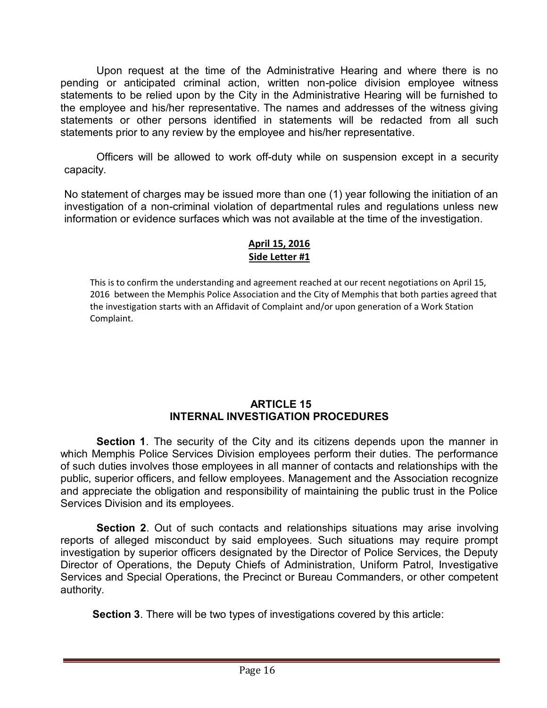Upon request at the time of the Administrative Hearing and where there is no pending or anticipated criminal action, written non-police division employee witness statements to be relied upon by the City in the Administrative Hearing will be furnished to the employee and his/her representative. The names and addresses of the witness giving statements or other persons identified in statements will be redacted from all such statements prior to any review by the employee and his/her representative.

Officers will be allowed to work off-duty while on suspension except in a security capacity.

No statement of charges may be issued more than one (1) year following the initiation of an investigation of a non-criminal violation of departmental rules and regulations unless new information or evidence surfaces which was not available at the time of the investigation.

## **April 15, 2016 Side Letter #1**

This is to confirm the understanding and agreement reached at our recent negotiations on April 15, 2016 between the Memphis Police Association and the City of Memphis that both parties agreed that the investigation starts with an Affidavit of Complaint and/or upon generation of a Work Station Complaint.

## **ARTICLE 15 INTERNAL INVESTIGATION PROCEDURES**

**Section 1**. The security of the City and its citizens depends upon the manner in which Memphis Police Services Division employees perform their duties. The performance of such duties involves those employees in all manner of contacts and relationships with the public, superior officers, and fellow employees. Management and the Association recognize and appreciate the obligation and responsibility of maintaining the public trust in the Police Services Division and its employees.

**Section 2.** Out of such contacts and relationships situations may arise involving reports of alleged misconduct by said employees. Such situations may require prompt investigation by superior officers designated by the Director of Police Services, the Deputy Director of Operations, the Deputy Chiefs of Administration, Uniform Patrol, Investigative Services and Special Operations, the Precinct or Bureau Commanders, or other competent authority.

**Section 3**. There will be two types of investigations covered by this article: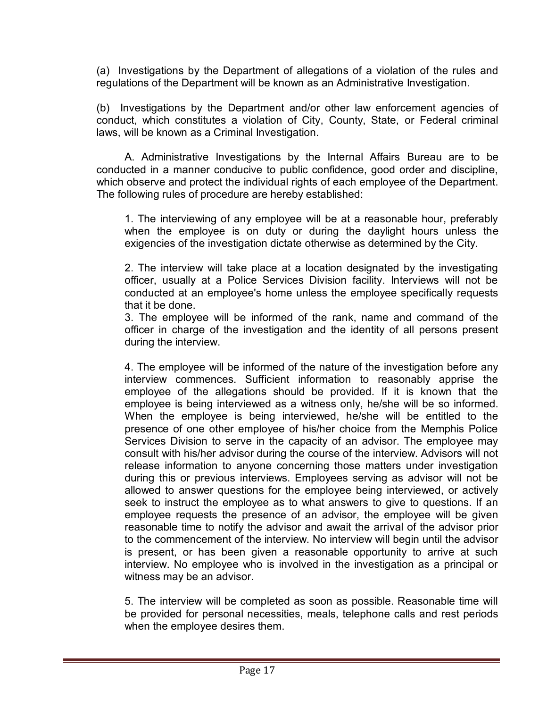(a) Investigations by the Department of allegations of a violation of the rules and regulations of the Department will be known as an Administrative Investigation.

(b) Investigations by the Department and/or other law enforcement agencies of conduct, which constitutes a violation of City, County, State, or Federal criminal laws, will be known as a Criminal Investigation.

A. Administrative Investigations by the Internal Affairs Bureau are to be conducted in a manner conducive to public confidence, good order and discipline, which observe and protect the individual rights of each employee of the Department. The following rules of procedure are hereby established:

1. The interviewing of any employee will be at a reasonable hour, preferably when the employee is on duty or during the daylight hours unless the exigencies of the investigation dictate otherwise as determined by the City.

2. The interview will take place at a location designated by the investigating officer, usually at a Police Services Division facility. Interviews will not be conducted at an employee's home unless the employee specifically requests that it be done.

3. The employee will be informed of the rank, name and command of the officer in charge of the investigation and the identity of all persons present during the interview.

4. The employee will be informed of the nature of the investigation before any interview commences. Sufficient information to reasonably apprise the employee of the allegations should be provided. If it is known that the employee is being interviewed as a witness only, he/she will be so informed. When the employee is being interviewed, he/she will be entitled to the presence of one other employee of his/her choice from the Memphis Police Services Division to serve in the capacity of an advisor. The employee may consult with his/her advisor during the course of the interview. Advisors will not release information to anyone concerning those matters under investigation during this or previous interviews. Employees serving as advisor will not be allowed to answer questions for the employee being interviewed, or actively seek to instruct the employee as to what answers to give to questions. If an employee requests the presence of an advisor, the employee will be given reasonable time to notify the advisor and await the arrival of the advisor prior to the commencement of the interview. No interview will begin until the advisor is present, or has been given a reasonable opportunity to arrive at such interview. No employee who is involved in the investigation as a principal or witness may be an advisor.

5. The interview will be completed as soon as possible. Reasonable time will be provided for personal necessities, meals, telephone calls and rest periods when the employee desires them.